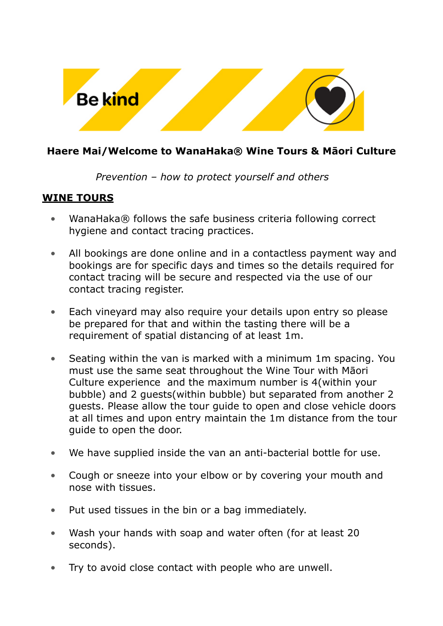

## **Haere Mai/Welcome to WanaHaka® Wine Tours & Māori Culture**

## *Prevention – how to protect yourself and others*

## **WINE TOURS**

- WanaHaka® follows the safe business criteria following correct hygiene and contact tracing practices.
- All bookings are done online and in a contactless payment way and bookings are for specific days and times so the details required for contact tracing will be secure and respected via the use of our contact tracing register.
- Each vineyard may also require your details upon entry so please be prepared for that and within the tasting there will be a requirement of spatial distancing of at least 1m.
- Seating within the van is marked with a minimum 1m spacing. You must use the same seat throughout the Wine Tour with Māori Culture experience and the maximum number is 4(within your bubble) and 2 guests(within bubble) but separated from another 2 guests. Please allow the tour guide to open and close vehicle doors at all times and upon entry maintain the 1m distance from the tour guide to open the door.
- We have supplied inside the van an anti-bacterial bottle for use.
- Cough or sneeze into your elbow or by covering your mouth and nose with tissues.
- Put used tissues in the bin or a bag immediately.
- Wash your hands with soap and water often (for at least 20 seconds).
- Try to avoid close contact with people who are unwell.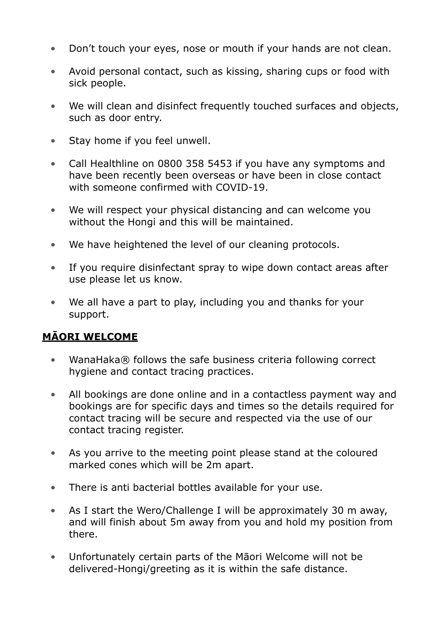- Don't touch your eyes, nose or mouth if your hands are not clean.
- Avoid personal contact, such as kissing, sharing cups or food with sick people.
- We will clean and disinfect frequently touched surfaces and objects, such as door entry.
- Stay home if you feel unwell.
- Call Healthline on 0800 358 5453 if you have any symptoms and have been recently been overseas or have been in close contact with someone confirmed with COVID-19.
- We will respect your physical distancing and can welcome you without the Hongi and this will be maintained.
- We have heightened the level of our cleaning protocols.
- If you require disinfectant spray to wipe down contact areas after use please let us know.
- We all have a part to play, including you and thanks for your support.

## **MĀORI WELCOME**

- WanaHaka® follows the safe business criteria following correct hygiene and contact tracing practices.
- All bookings are done online and in a contactless payment way and bookings are for specific days and times so the details required for contact tracing will be secure and respected via the use of our contact tracing register.
- As you arrive to the meeting point please stand at the coloured marked cones which will be 2m apart.
- There is anti bacterial bottles available for your use.
- As I start the Wero/Challenge I will be approximately 30 m away, and will finish about 5m away from you and hold my position from there.
- Unfortunately certain parts of the Māori Welcome will not be delivered-Hongi/greeting as it is within the safe distance.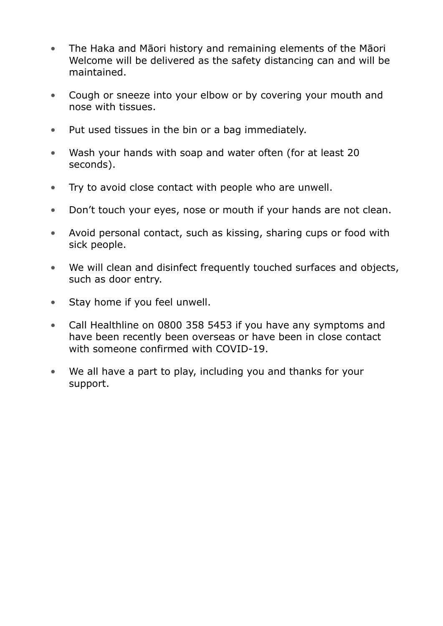- The Haka and Māori history and remaining elements of the Māori Welcome will be delivered as the safety distancing can and will be maintained.
- Cough or sneeze into your elbow or by covering your mouth and nose with tissues.
- Put used tissues in the bin or a bag immediately.
- Wash your hands with soap and water often (for at least 20 seconds).
- Try to avoid close contact with people who are unwell.
- Don't touch your eyes, nose or mouth if your hands are not clean.
- Avoid personal contact, such as kissing, sharing cups or food with sick people.
- We will clean and disinfect frequently touched surfaces and objects, such as door entry.
- Stay home if you feel unwell.
- Call Healthline on 0800 358 5453 if you have any symptoms and have been recently been overseas or have been in close contact with someone confirmed with COVID-19.
- We all have a part to play, including you and thanks for your support.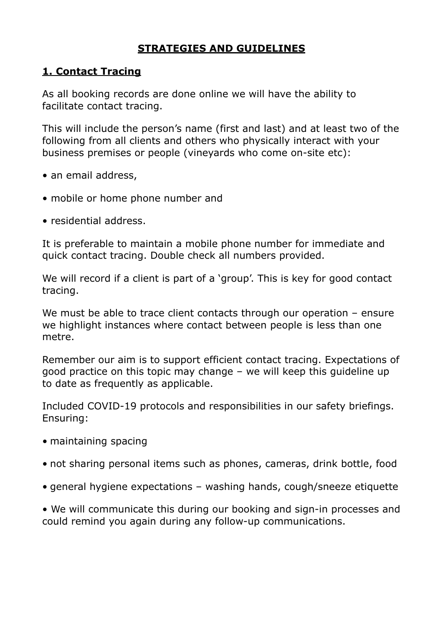## **STRATEGIES AND GUIDELINES**

## **1. Contact Tracing**

As all booking records are done online we will have the ability to facilitate contact tracing.

This will include the person's name (first and last) and at least two of the following from all clients and others who physically interact with your business premises or people (vineyards who come on-site etc):

- an email address,
- mobile or home phone number and
- residential address.

It is preferable to maintain a mobile phone number for immediate and quick contact tracing. Double check all numbers provided.

We will record if a client is part of a 'group'. This is key for good contact tracing.

We must be able to trace client contacts through our operation – ensure we highlight instances where contact between people is less than one metre.

Remember our aim is to support efficient contact tracing. Expectations of good practice on this topic may change – we will keep this guideline up to date as frequently as applicable.

Included COVID-19 protocols and responsibilities in our safety briefings. Ensuring:

- maintaining spacing
- not sharing personal items such as phones, cameras, drink bottle, food
- general hygiene expectations washing hands, cough/sneeze etiquette

• We will communicate this during our booking and sign-in processes and could remind you again during any follow-up communications.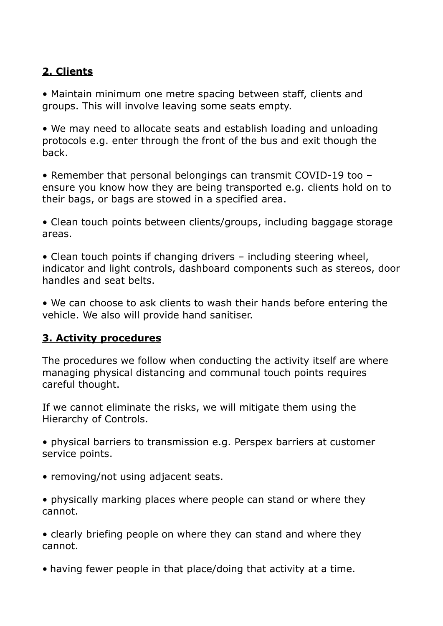## **2. Clients**

• Maintain minimum one metre spacing between staff, clients and groups. This will involve leaving some seats empty.

• We may need to allocate seats and establish loading and unloading protocols e.g. enter through the front of the bus and exit though the back.

• Remember that personal belongings can transmit COVID-19 too – ensure you know how they are being transported e.g. clients hold on to their bags, or bags are stowed in a specified area.

• Clean touch points between clients/groups, including baggage storage areas.

• Clean touch points if changing drivers – including steering wheel, indicator and light controls, dashboard components such as stereos, door handles and seat belts.

• We can choose to ask clients to wash their hands before entering the vehicle. We also will provide hand sanitiser.

## **3. Activity procedures**

The procedures we follow when conducting the activity itself are where managing physical distancing and communal touch points requires careful thought.

If we cannot eliminate the risks, we will mitigate them using the Hierarchy of Controls.

• physical barriers to transmission e.g. Perspex barriers at customer service points.

- removing/not using adjacent seats.
- physically marking places where people can stand or where they cannot.

• clearly briefing people on where they can stand and where they cannot.

• having fewer people in that place/doing that activity at a time.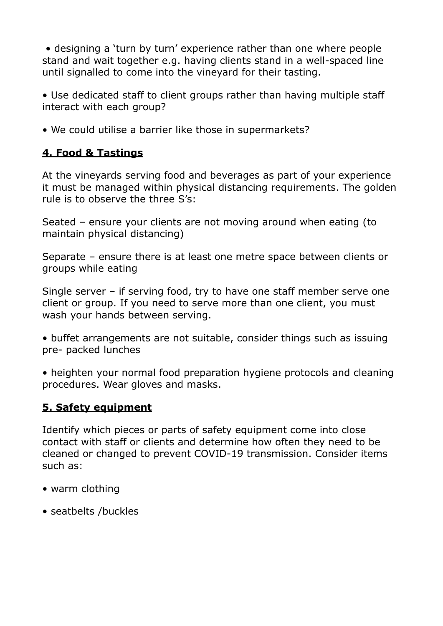• designing a 'turn by turn' experience rather than one where people stand and wait together e.g. having clients stand in a well-spaced line until signalled to come into the vineyard for their tasting.

• Use dedicated staff to client groups rather than having multiple staff interact with each group?

• We could utilise a barrier like those in supermarkets?

## **4. Food & Tastings**

At the vineyards serving food and beverages as part of your experience it must be managed within physical distancing requirements. The golden rule is to observe the three S's:

Seated – ensure your clients are not moving around when eating (to maintain physical distancing)

Separate – ensure there is at least one metre space between clients or groups while eating

Single server – if serving food, try to have one staff member serve one client or group. If you need to serve more than one client, you must wash your hands between serving.

• buffet arrangements are not suitable, consider things such as issuing pre- packed lunches

• heighten your normal food preparation hygiene protocols and cleaning procedures. Wear gloves and masks.

## **5. Safety equipment**

Identify which pieces or parts of safety equipment come into close contact with staff or clients and determine how often they need to be cleaned or changed to prevent COVID-19 transmission. Consider items such as:

- warm clothing
- seatbelts /buckles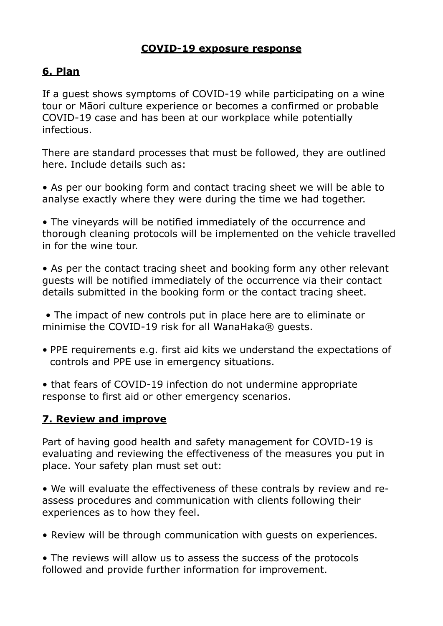## **COVID-19 exposure response**

## **6. Plan**

If a guest shows symptoms of COVID-19 while participating on a wine tour or Māori culture experience or becomes a confirmed or probable COVID-19 case and has been at our workplace while potentially infectious.

There are standard processes that must be followed, they are outlined here. Include details such as:

• As per our booking form and contact tracing sheet we will be able to analyse exactly where they were during the time we had together.

• The vineyards will be notified immediately of the occurrence and thorough cleaning protocols will be implemented on the vehicle travelled in for the wine tour.

• As per the contact tracing sheet and booking form any other relevant guests will be notified immediately of the occurrence via their contact details submitted in the booking form or the contact tracing sheet.

 • The impact of new controls put in place here are to eliminate or minimise the COVID-19 risk for all WanaHaka® guests.

• PPE requirements e.g. first aid kits we understand the expectations of controls and PPE use in emergency situations.

• that fears of COVID-19 infection do not undermine appropriate response to first aid or other emergency scenarios.

## **7. Review and improve**

Part of having good health and safety management for COVID-19 is evaluating and reviewing the effectiveness of the measures you put in place. Your safety plan must set out:

• We will evaluate the effectiveness of these contrals by review and reassess procedures and communication with clients following their experiences as to how they feel.

• Review will be through communication with guests on experiences.

• The reviews will allow us to assess the success of the protocols followed and provide further information for improvement.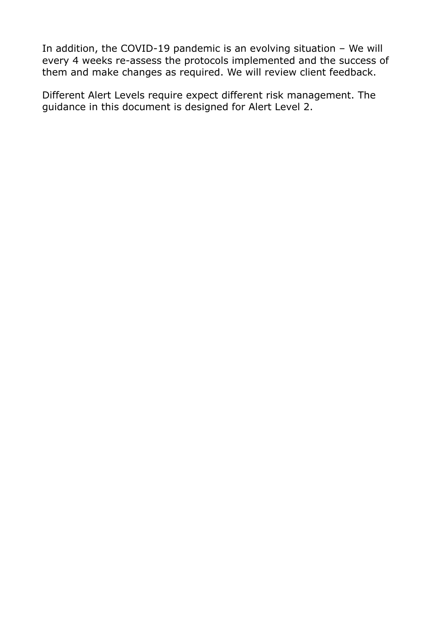In addition, the COVID-19 pandemic is an evolving situation – We will every 4 weeks re-assess the protocols implemented and the success of them and make changes as required. We will review client feedback.

Different Alert Levels require expect different risk management. The guidance in this document is designed for Alert Level 2.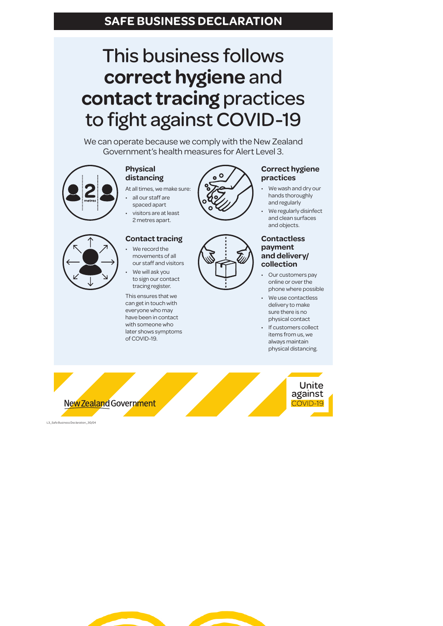## This business follows **correct hygiene** and **contact tracing** practices to fight against COVID-19

We can operate because we comply with the New Zealand Government's health measures for Alert Level 3.

## **Physical distancing**

- At all times, we make sure: all our staff are
- spaced apart visitors are at least 2 metres apart.



### **Contact tracing** We record the

movements of all our staff and visitors We will ask you to sign our contact tracing register.

This ensures that we can get in touch with everyone who may have been in contact with someone who later shows symptoms of COVID-19.



## **Correct hygiene practices**

- We wash and dry our hands thoroughly and regularly
- We regularly disinfect and clean surfaces and objects.

#### **Contactless payment and delivery/ collection**

- Our customers pay online or over the phone where possible
- We use contactless delivery to make sure there is no
- physical contact If customers collect items from us, we always maintain physical distancing.



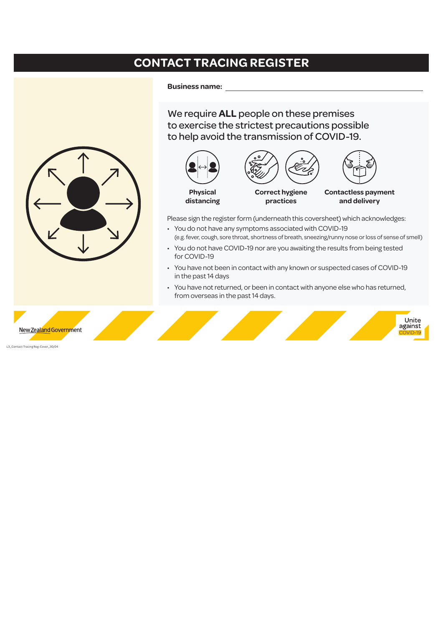## **CONTACT TRACING REGISTER**

**Business name:** 

We require **ALL** people on these premises to exercise the strictest precautions possible to help avoid the transmission of COVID-19.



Please sign the register form (underneath this coversheet) which acknowledges:

- You do not have any symptoms associated with COVID-19 (e.g. fever, cough, sore throat, shortness of breath, sneezing/runny nose or loss of sense of smell)
- You do not have COVID-19 nor are you awaiting the results from being tested for COVID-19
- You have not been in contact with any known or suspected cases of COVID-19 in the past 14 days
- You have not returned, or been in contact with anyone else who has returned, from overseas in the past 14 days.



L3\_Contact Tracing Reg-Cover\_30/04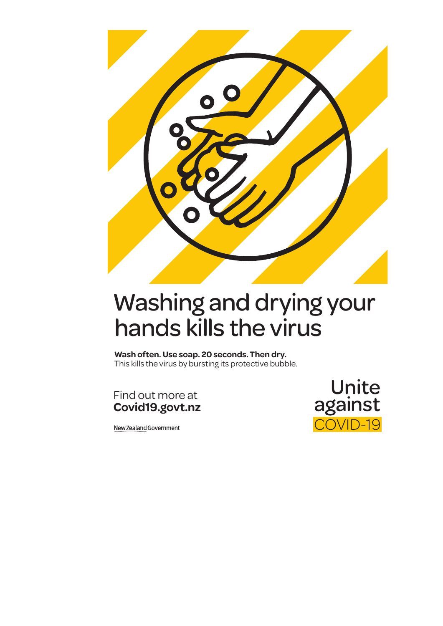

## Washing and drying your hands kills the virus

**Wash often. Use soap. 20 seconds. Then dry.**  This kills the virus by bursting its protective bubble.

Find out more at **Covid19.govt.nz**

New Zealand Government

Unite<br>against COVID-19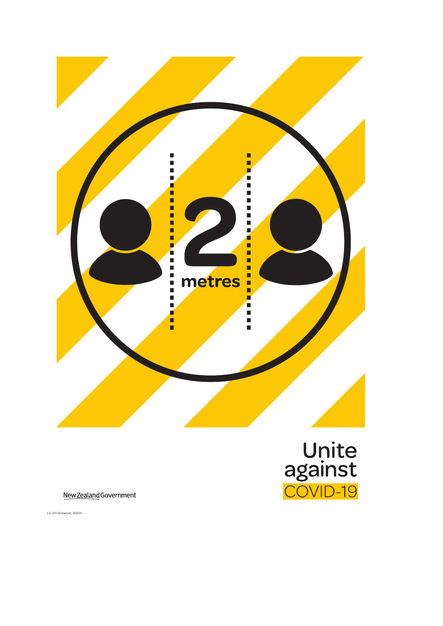

New Zealand Government

L3\_2m Distance\_30/04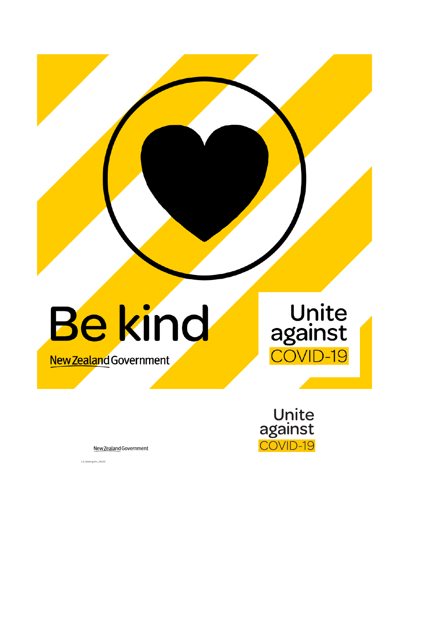

New Zealand Government

L3\_Waiting 2m\_30/03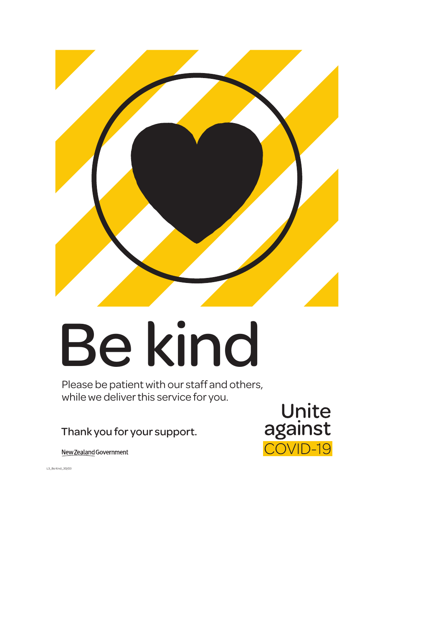

# Be kind

Please be patient with our staff and others, while we deliver this service for you.

## Thank you for your support.

New Zealand Government



L3\_Be Kind\_30/03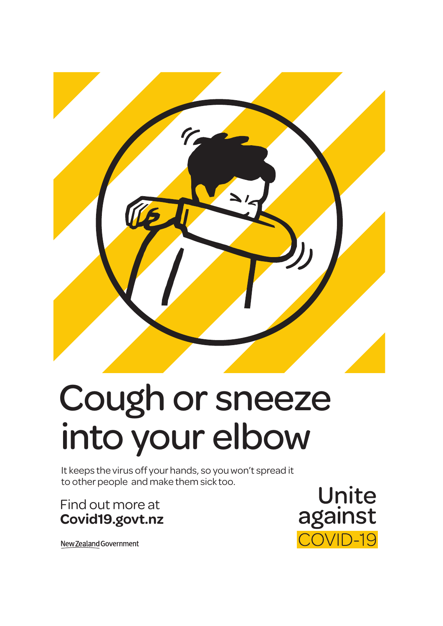

# Cough or sneeze into your elbow

It keeps the virus off your hands, so you won't spread it to other people and make them sick too.

Find out more at **Covid19.govt.nz**

Unite against **OVID-19** 

New Zealand Government